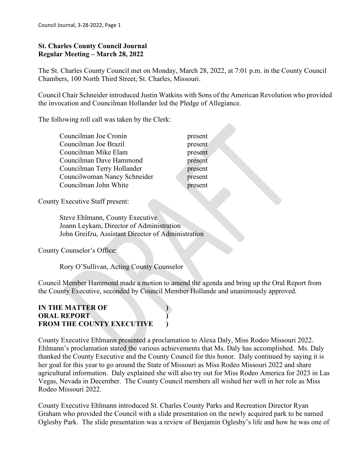### **St. Charles County Council Journal Regular Meeting – March 28, 2022**

The St. Charles County Council met on Monday, March 28, 2022, at 7:01 p.m. in the County Council Chambers, 100 North Third Street, St. Charles, Missouri.

Council Chair Schneider introduced Justin Watkins with Sons of the American Revolution who provided the invocation and Councilman Hollander led the Pledge of Allegiance.

> present present present present present present present

The following roll call was taken by the Clerk:

County Executive Staff present:

 Steve Ehlmann, County Executive Joann Leykam, Director of Administration John Greifzu, Assistant Director of Administration

County Counselor's Office:

Rory O'Sullivan, Acting County Counselor

Council Member Hammond made a motion to amend the agenda and bring up the Oral Report from the County Executive, seconded by Council Member Hollande and unanimously approved.

# **IN THE MATTER OF ) ORAL REPORT ) FROM THE COUNTY EXECUTIVE )**

County Executive Ehlmann presented a proclamation to Alexa Daly, Miss Rodeo Missouri 2022. Ehlmann's proclamation stated the various achievements that Ms. Daly has accomplished. Ms. Daly thanked the County Executive and the County Council for this honor. Daly continued by saying it is her goal for this year to go around the State of Missouri as Miss Rodeo Missouri 2022 and share agricultural information. Daly explained she will also try out for Miss Rodeo America for 2023 in Las Vegas, Nevada in December. The County Council members all wished her well in her role as Miss Rodeo Missouri 2022.

County Executive Ehlmann introduced St. Charles County Parks and Recreation Director Ryan Graham who provided the Council with a slide presentation on the newly acquired park to be named Oglesby Park. The slide presentation was a review of Benjamin Oglesby's life and how he was one of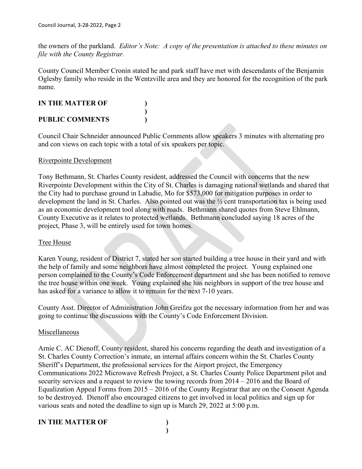the owners of the parkland. *Editor's Note: A copy of the presentation is attached to these minutes on file with the County Registrar.*

County Council Member Cronin stated he and park staff have met with descendants of the Benjamin Oglesby family who reside in the Wentzville area and they are honored for the recognition of the park name.

# **IN THE MATTER OF ) )**

**PUBLIC COMMENTS )**

Council Chair Schneider announced Public Comments allow speakers 3 minutes with alternating pro and con views on each topic with a total of six speakers per topic.

### Riverpointe Development

Tony Bethmann, St. Charles County resident, addressed the Council with concerns that the new Riverpointe Development within the City of St. Charles is damaging national wetlands and shared that the City had to purchase ground in Labadie, Mo for \$573,000 for mitigation purposes in order to development the land in St. Charles. Also pointed out was the ½ cent transportation tax is being used as an economic development tool along with roads. Bethmann shared quotes from Steve Ehlmann, County Executive as it relates to protected wetlands. Bethmann concluded saying 18 acres of the project, Phase 3, will be entirely used for town homes.

# Tree House

Karen Young, resident of District 7, stated her son started building a tree house in their yard and with the help of family and some neighbors have almost completed the project. Young explained one person complained to the County's Code Enforcement department and she has been notified to remove the tree house within one week. Young explained she has neighbors in support of the tree house and has asked for a variance to allow it to remain for the next 7-10 years.

County Asst. Director of Administration John Greifzu got the necessary information from her and was going to continue the discussions with the County's Code Enforcement Division.

# Miscellaneous

Arnie C. AC Dienoff, County resident, shared his concerns regarding the death and investigation of a St. Charles County Correction's inmate, an internal affairs concern within the St. Charles County Sheriff's Department, the professional services for the Airport project, the Emergency Communications 2022 Microwave Refresh Project, a St. Charles County Police Department pilot and security services and a request to review the towing records from 2014 – 2016 and the Board of Equalization Appeal Forms from 2015 – 2016 of the County Registrar that are on the Consent Agenda to be destroyed. Dienoff also encouraged citizens to get involved in local politics and sign up for various seats and noted the deadline to sign up is March 29, 2022 at 5:00 p.m.

# **IN THE MATTER OF )**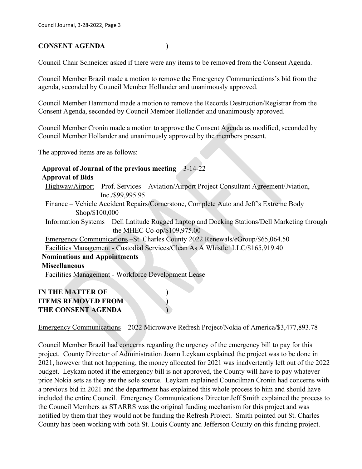# **CONSENT AGENDA )**

Council Chair Schneider asked if there were any items to be removed from the Consent Agenda.

Council Member Brazil made a motion to remove the Emergency Communications's bid from the agenda, seconded by Council Member Hollander and unanimously approved.

Council Member Hammond made a motion to remove the Records Destruction/Registrar from the Consent Agenda, seconded by Council Member Hollander and unanimously approved.

Council Member Cronin made a motion to approve the Consent Agenda as modified, seconded by Council Member Hollander and unanimously approved by the members present.

The approved items are as follows:

### **Approval of Journal of the previous meeting** – 3-14-22 **Approval of Bids**

Highway/Airport – Prof. Services – Aviation/Airport Project Consultant Agreement/Jviation, Inc./\$99,995.95

 Finance – Vehicle Accident Repairs/Cornerstone, Complete Auto and Jeff's Extreme Body Shop/\$100,000

 Information Systems – Dell Latitude Rugged Laptop and Docking Stations/Dell Marketing through the MHEC Co-op/\$109,975.00

 Emergency Communications –St. Charles County 2022 Renewals/eGroup/\$65,064.50 Facilities Management - Custodial Services/Clean As A Whistle! LLC/\$165,919.40

# **Nominations and Appointments**

### **Miscellaneous**

Facilities Management - Workforce Development Lease

# **IN THE MATTER OF ) ITEMS REMOVED FROM ) THE CONSENT AGENDA )**

Emergency Communications – 2022 Microwave Refresh Project/Nokia of America/\$3,477,893.78

Council Member Brazil had concerns regarding the urgency of the emergency bill to pay for this project. County Director of Administration Joann Leykam explained the project was to be done in 2021, however that not happening, the money allocated for 2021 was inadvertently left out of the 2022 budget. Leykam noted if the emergency bill is not approved, the County will have to pay whatever price Nokia sets as they are the sole source. Leykam explained Councilman Cronin had concerns with a previous bid in 2021 and the department has explained this whole process to him and should have included the entire Council. Emergency Communications Director Jeff Smith explained the process to the Council Members as STARRS was the original funding mechanism for this project and was notified by them that they would not be funding the Refresh Project. Smith pointed out St. Charles County has been working with both St. Louis County and Jefferson County on this funding project.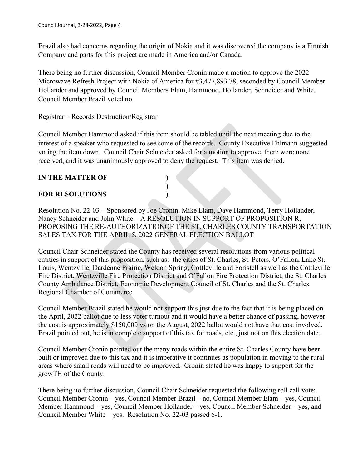Brazil also had concerns regarding the origin of Nokia and it was discovered the company is a Finnish Company and parts for this project are made in America and/or Canada.

There being no further discussion, Council Member Cronin made a motion to approve the 2022 Microwave Refresh Project with Nokia of America for #3,477,893.78, seconded by Council Member Hollander and approved by Council Members Elam, Hammond, Hollander, Schneider and White. Council Member Brazil voted no.

# Registrar – Records Destruction/Registrar

Council Member Hammond asked if this item should be tabled until the next meeting due to the interest of a speaker who requested to see some of the records. County Executive Ehlmann suggested voting the item down. Council Chair Schneider asked for a motion to approve, there were none received, and it was unanimously approved to deny the request. This item was denied.

**)**

# **IN THE MATTER OF )**

# **FOR RESOLUTIONS )**

Resolution No. 22-03 – Sponsored by Joe Cronin, Mike Elam, Dave Hammond, Terry Hollander, Nancy Schneider and John White – A RESOLUTION IN SUPPORT OF PROPOSITION R, PROPOSING THE RE-AUTHORIZATIONOF THE ST. CHARLES COUNTY TRANSPORTATION SALES TAX FOR THE APRIL 5, 2022 GENERAL ELECTION BALLOT

Council Chair Schneider stated the County has received several resolutions from various political entities in support of this proposition, such as: the cities of St. Charles, St. Peters, O'Fallon, Lake St. Louis, Wentzville, Dardenne Prairie, Weldon Spring, Cottleville and Foristell as well as the Cottleville Fire District, Wentzville Fire Protection District and O'Fallon Fire Protection District, the St. Charles County Ambulance District, Economic Development Council of St. Charles and the St. Charles Regional Chamber of Commerce.

Council Member Brazil stated he would not support this just due to the fact that it is being placed on the April, 2022 ballot due to less voter turnout and it would have a better chance of passing, however the cost is approximately \$150,000 vs on the August, 2022 ballot would not have that cost involved. Brazil pointed out, he is in complete support of this tax for roads, etc., just not on this election date.

Council Member Cronin pointed out the many roads within the entire St. Charles County have been built or improved due to this tax and it is imperative it continues as population in moving to the rural areas where small roads will need to be improved. Cronin stated he was happy to support for the growTH of the County.

There being no further discussion, Council Chair Schneider requested the following roll call vote: Council Member Cronin – yes, Council Member Brazil – no, Council Member Elam – yes, Council Member Hammond – yes, Council Member Hollander – yes, Council Member Schneider – yes, and Council Member White – yes. Resolution No. 22-03 passed 6-1.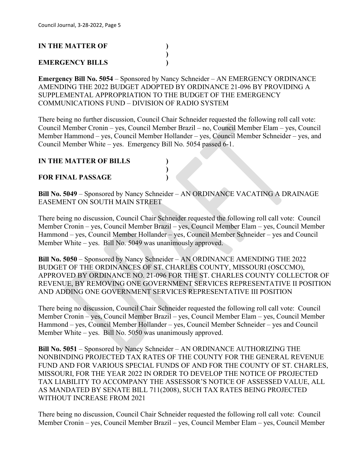# **IN THE MATTER OF )**

### **EMERGENCY BILLS )**

**Emergency Bill No. 5054** – Sponsored by Nancy Schneider – AN EMERGENCY ORDINANCE AMENDING THE 2022 BUDGET ADOPTED BY ORDINANCE 21-096 BY PROVIDING A SUPPLEMENTAL APPROPRIATION TO THE BUDGET OF THE EMERGENCY COMMUNICATIONS FUND – DIVISION OF RADIO SYSTEM

**)**

There being no further discussion, Council Chair Schneider requested the following roll call vote: Council Member Cronin – yes, Council Member Brazil – no, Council Member Elam – yes, Council Member Hammond – yes, Council Member Hollander – yes, Council Member Schneider – yes, and Council Member White – yes. Emergency Bill No. 5054 passed 6-1.

#### **IN THE MATTER OF BILLS )**

#### **FOR FINAL PASSAGE )**

**Bill No. 5049** – Sponsored by Nancy Schneider – AN ORDINANCE VACATING A DRAINAGE EASEMENT ON SOUTH MAIN STREET

**)**

There being no discussion, Council Chair Schneider requested the following roll call vote: Council Member Cronin – yes, Council Member Brazil – yes, Council Member Elam – yes, Council Member Hammond – yes, Council Member Hollander – yes, Council Member Schneider – yes and Council Member White – yes. Bill No. 5049 was unanimously approved.

**Bill No. 5050** – Sponsored by Nancy Schneider – AN ORDINANCE AMENDING THE 2022 BUDGET OF THE ORDINANCES OF ST. CHARLES COUNTY, MISSOURI (OSCCMO), APPROVED BY ORDINANCE NO. 21-096 FOR THE ST. CHARLES COUNTY COLLECTOR OF REVENUE, BY REMOVING ONE GOVERNMENT SERVICES REPRESENTATIVE II POSITION AND ADDING ONE GOVERNMENT SERVICES REPRESENTATIVE III POSITION

There being no discussion, Council Chair Schneider requested the following roll call vote: Council Member Cronin – yes, Council Member Brazil – yes, Council Member Elam – yes, Council Member Hammond – yes, Council Member Hollander – yes, Council Member Schneider – yes and Council Member White – yes. Bill No. 5050 was unanimously approved.

**Bill No. 5051** – Sponsored by Nancy Schneider – AN ORDINANCE AUTHORIZING THE NONBINDING PROJECTED TAX RATES OF THE COUNTY FOR THE GENERAL REVENUE FUND AND FOR VARIOUS SPECIAL FUNDS OF AND FOR THE COUNTY OF ST. CHARLES, MISSOURI, FOR THE YEAR 2022 IN ORDER TO DEVELOP THE NOTICE OF PROJECTED TAX LIABILITY TO ACCOMPANY THE ASSESSOR'S NOTICE OF ASSESSED VALUE, ALL AS MANDATED BY SENATE BILL 711(2008), SUCH TAX RATES BEING PROJECTED WITHOUT INCREASE FROM 2021

There being no discussion, Council Chair Schneider requested the following roll call vote: Council Member Cronin – yes, Council Member Brazil – yes, Council Member Elam – yes, Council Member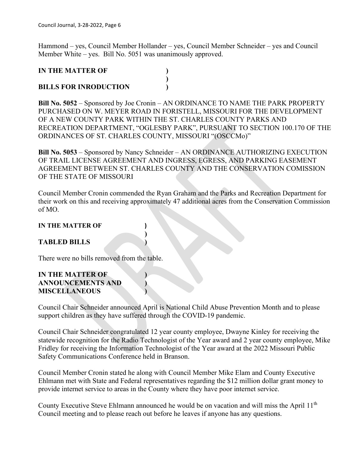Hammond – yes, Council Member Hollander – yes, Council Member Schneider – yes and Council Member White – yes. Bill No. 5051 was unanimously approved.

**)**

# **IN THE MATTER OF )**

### **BILLS FOR INRODUCTION )**

**Bill No. 5052** – Sponsored by Joe Cronin – AN ORDINANCE TO NAME THE PARK PROPERTY PURCHASED ON W. MEYER ROAD IN FORISTELL, MISSOURI FOR THE DEVELOPMENT OF A NEW COUNTY PARK WITHIN THE ST. CHARLES COUNTY PARKS AND RECREATION DEPARTMENT, "OGLESBY PARK", PURSUANT TO SECTION 100.170 OF THE ORDINANCES OF ST. CHARLES COUNTY, MISSOURI "(OSCCMo)"

**Bill No. 5053** – Sponsored by Nancy Schneider – AN ORDINANCE AUTHORIZING EXECUTION OF TRAIL LICENSE AGREEMENT AND INGRESS, EGRESS, AND PARKING EASEMENT AGREEMENT BETWEEN ST. CHARLES COUNTY AND THE CONSERVATION COMISSION OF THE STATE OF MISSOURI

Council Member Cronin commended the Ryan Graham and the Parks and Recreation Department for their work on this and receiving approximately 47 additional acres from the Conservation Commission of MO.

**)**

#### **IN THE MATTER OF )**

### **TABLED BILLS )**

There were no bills removed from the table.

### **IN THE MATTER OF ) ANNOUNCEMENTS AND ) MISCELLANEOUS )**

Council Chair Schneider announced April is National Child Abuse Prevention Month and to please support children as they have suffered through the COVID-19 pandemic.

Council Chair Schneider congratulated 12 year county employee, Dwayne Kinley for receiving the statewide recognition for the Radio Technologist of the Year award and 2 year county employee, Mike Fridley for receiving the Information Technologist of the Year award at the 2022 Missouri Public Safety Communications Conference held in Branson.

Council Member Cronin stated he along with Council Member Mike Elam and County Executive Ehlmann met with State and Federal representatives regarding the \$12 million dollar grant money to provide internet service to areas in the County where they have poor internet service.

County Executive Steve Ehlmann announced he would be on vacation and will miss the April 11<sup>th</sup> Council meeting and to please reach out before he leaves if anyone has any questions.